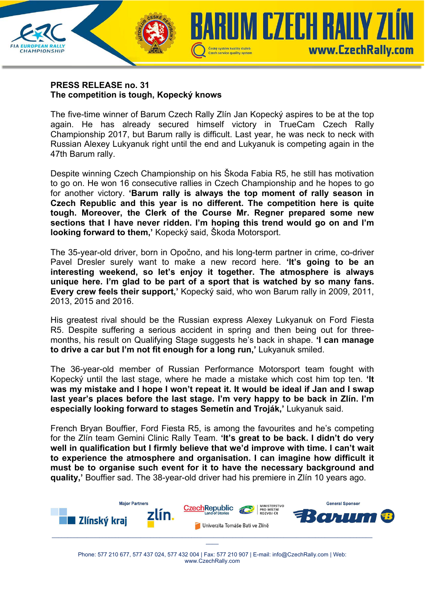

**CHAMPIONSHIP** 

The five-time winner of Barum Czech Rally Zlín Jan Kopecký aspires to be at the top again. He has already secured himself victory in TrueCam Czech Rally Championship 2017, but Barum rally is difficult. Last year, he was neck to neck with Russian Alexey Lukyanuk right until the end and Lukyanuk is competing again in the 47th Barum rally.

Český systém kvality služeb

**Czech service quality system** 

UM CZECH RAUY Z

www.CzechRally.com

Despite winning Czech Championship on his Škoda Fabia R5, he still has motivation to go on. He won 16 consecutive rallies in Czech Championship and he hopes to go for another victory. **'Barum rally is always the top moment of rally season in Czech Republic and this year is no different. The competition here is quite tough. Moreover, the Clerk of the Course Mr. Regner prepared some new sections that I have never ridden. I'm hoping this trend would go on and I'm looking forward to them,'** Kopecký said, Škoda Motorsport.

The 35-year-old driver, born in Opočno, and his long-term partner in crime, co-driver Pavel Dresler surely want to make a new record here. **'It's going to be an interesting weekend, so let's enjoy it together. The atmosphere is always unique here. I'm glad to be part of a sport that is watched by so many fans. Every crew feels their support,'** Kopecký said, who won Barum rally in 2009, 2011, 2013, 2015 and 2016.

His greatest rival should be the Russian express Alexey Lukyanuk on Ford Fiesta R5. Despite suffering a serious accident in spring and then being out for threemonths, his result on Qualifying Stage suggests he's back in shape. **'I can manage to drive a car but I'm not fit enough for a long run,'** Lukyanuk smiled.

The 36-year-old member of Russian Performance Motorsport team fought with Kopecký until the last stage, where he made a mistake which cost him top ten. **'It was my mistake and I hope I won't repeat it. It would be ideal if Jan and I swap last year's places before the last stage. I'm very happy to be back in Zlín. I'm especially looking forward to stages Semetín and Troják,'** Lukyanuk said.

French Bryan Bouffier, Ford Fiesta R5, is among the favourites and he's competing for the Zlín team Gemini Clinic Rally Team. **'It's great to be back. I didn't do very well in qualification but I firmly believe that we'd improve with time. I can't wait to experience the atmosphere and organisation. I can imagine how difficult it must be to organise such event for it to have the necessary background and quality,'** Bouffier sad. The 38-year-old driver had his premiere in Zlín 10 years ago.